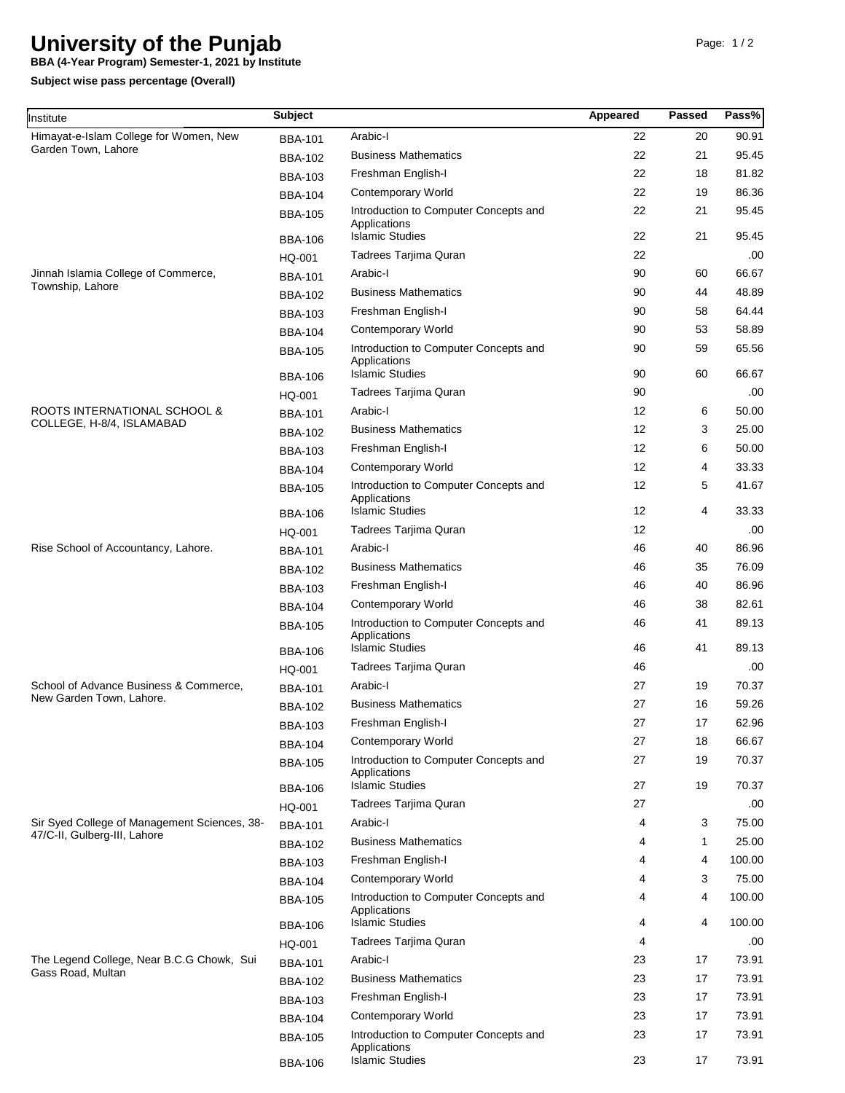## **University of the Punjab**

**BBA (4-Year Program) Semester-1, 2021 by Institute**

**Subject wise pass percentage (Overall)**

| Institute                                                                    | <b>Subject</b>                   |                                                                                 | Appeared          | Passed       | Pass%          |
|------------------------------------------------------------------------------|----------------------------------|---------------------------------------------------------------------------------|-------------------|--------------|----------------|
| Himayat-e-Islam College for Women, New<br>Garden Town, Lahore                | <b>BBA-101</b>                   | Arabic-I                                                                        | 22                | 20           | 90.91          |
|                                                                              | <b>BBA-102</b>                   | <b>Business Mathematics</b>                                                     | 22                | 21           | 95.45          |
|                                                                              | <b>BBA-103</b>                   | Freshman English-I                                                              | 22                | 18           | 81.82          |
|                                                                              | <b>BBA-104</b>                   | <b>Contemporary World</b>                                                       | 22                | 19           | 86.36          |
|                                                                              | <b>BBA-105</b>                   | Introduction to Computer Concepts and                                           | 22                | 21           | 95.45          |
|                                                                              | <b>BBA-106</b>                   | Applications<br><b>Islamic Studies</b>                                          | 22                | 21           | 95.45          |
|                                                                              | HQ-001                           | Tadrees Tarjima Quran                                                           | 22                |              | .00.           |
| Jinnah Islamia College of Commerce,<br>Township, Lahore                      | <b>BBA-101</b>                   | Arabic-I                                                                        | 90                | 60           | 66.67          |
|                                                                              | <b>BBA-102</b>                   | <b>Business Mathematics</b>                                                     | 90                | 44           | 48.89          |
|                                                                              | <b>BBA-103</b>                   | Freshman English-I                                                              | 90                | 58           | 64.44          |
|                                                                              | <b>BBA-104</b>                   | <b>Contemporary World</b>                                                       | 90                | 53           | 58.89          |
|                                                                              | <b>BBA-105</b>                   | Introduction to Computer Concepts and<br>Applications                           | 90                | 59           | 65.56          |
|                                                                              | <b>BBA-106</b>                   | <b>Islamic Studies</b>                                                          | 90                | 60           | 66.67          |
|                                                                              | HQ-001                           | Tadrees Tarjima Quran                                                           | 90                |              | .00.           |
| ROOTS INTERNATIONAL SCHOOL &<br>COLLEGE, H-8/4, ISLAMABAD                    | <b>BBA-101</b>                   | Arabic-I                                                                        | 12                | 6            | 50.00          |
|                                                                              | <b>BBA-102</b>                   | <b>Business Mathematics</b>                                                     | 12                | 3            | 25.00          |
|                                                                              | <b>BBA-103</b>                   | Freshman English-I                                                              | 12                | 6            | 50.00          |
|                                                                              | <b>BBA-104</b>                   | <b>Contemporary World</b>                                                       | $12 \overline{ }$ | 4            | 33.33          |
|                                                                              | <b>BBA-105</b>                   | Introduction to Computer Concepts and<br>Applications                           | 12                | 5            | 41.67          |
|                                                                              | <b>BBA-106</b>                   | <b>Islamic Studies</b>                                                          | $12 \overline{ }$ | 4            | 33.33          |
|                                                                              | HQ-001                           | Tadrees Tarjima Quran                                                           | $12 \overline{ }$ |              | .00.           |
| Rise School of Accountancy, Lahore.                                          | <b>BBA-101</b>                   | Arabic-I                                                                        | 46                | 40           | 86.96          |
|                                                                              | <b>BBA-102</b>                   | <b>Business Mathematics</b>                                                     | 46                | 35           | 76.09          |
|                                                                              | <b>BBA-103</b>                   | Freshman English-I                                                              | 46                | 40           | 86.96          |
|                                                                              | <b>BBA-104</b>                   | <b>Contemporary World</b>                                                       | 46                | 38           | 82.61          |
|                                                                              | <b>BBA-105</b>                   | Introduction to Computer Concepts and<br>Applications                           | 46                | 41           | 89.13          |
|                                                                              | <b>BBA-106</b>                   | <b>Islamic Studies</b>                                                          | 46                | 41           | 89.13          |
|                                                                              | HQ-001                           | Tadrees Tarjima Quran                                                           | 46                |              | .00.           |
| School of Advance Business & Commerce,<br>New Garden Town, Lahore.           | <b>BBA-101</b>                   | Arabic-I                                                                        | 27                | 19           | 70.37          |
|                                                                              | <b>BBA-102</b>                   | <b>Business Mathematics</b>                                                     | 27                | 16           | 59.26          |
|                                                                              | <b>BBA-103</b>                   | Freshman English-I                                                              | 27                | 17           | 62.96          |
|                                                                              | <b>BBA-104</b>                   | <b>Contemporary World</b>                                                       | 27                | 18           | 66.67          |
|                                                                              | <b>BBA-105</b>                   | Introduction to Computer Concepts and<br>Applications<br><b>Islamic Studies</b> | 27<br>27          | 19<br>19     | 70.37<br>70.37 |
|                                                                              | <b>BBA-106</b>                   | Tadrees Tarjima Quran                                                           | 27                |              | .00.           |
|                                                                              | HQ-001                           | Arabic-I                                                                        | 4                 | 3            | 75.00          |
| Sir Syed College of Management Sciences, 38-<br>47/C-II, Gulberg-III, Lahore | <b>BBA-101</b>                   | <b>Business Mathematics</b>                                                     |                   |              | 25.00          |
|                                                                              | <b>BBA-102</b>                   |                                                                                 | 4                 | $\mathbf{1}$ | 100.00         |
|                                                                              | <b>BBA-103</b>                   | Freshman English-I<br><b>Contemporary World</b>                                 | 4<br>4            | 4<br>3       | 75.00          |
|                                                                              | <b>BBA-104</b>                   | Introduction to Computer Concepts and                                           | 4                 | 4            | 100.00         |
|                                                                              | <b>BBA-105</b>                   | Applications<br><b>Islamic Studies</b>                                          | 4                 | 4            | 100.00         |
|                                                                              | <b>BBA-106</b>                   | Tadrees Tarjima Quran                                                           | 4                 |              | .00.           |
| The Legend College, Near B.C.G Chowk, Sui<br>Gass Road, Multan               | HQ-001<br><b>BBA-101</b>         | Arabic-I                                                                        | 23                | 17           | 73.91          |
|                                                                              |                                  | <b>Business Mathematics</b>                                                     | 23                | 17           | 73.91          |
|                                                                              | <b>BBA-102</b>                   | Freshman English-I                                                              | 23                | 17           | 73.91          |
|                                                                              | <b>BBA-103</b>                   | <b>Contemporary World</b>                                                       | 23                | 17           | 73.91          |
|                                                                              | <b>BBA-104</b><br><b>BBA-105</b> | Introduction to Computer Concepts and                                           | 23                | 17           | 73.91          |
|                                                                              | <b>BBA-106</b>                   | Applications<br><b>Islamic Studies</b>                                          | 23                | 17           | 73.91          |